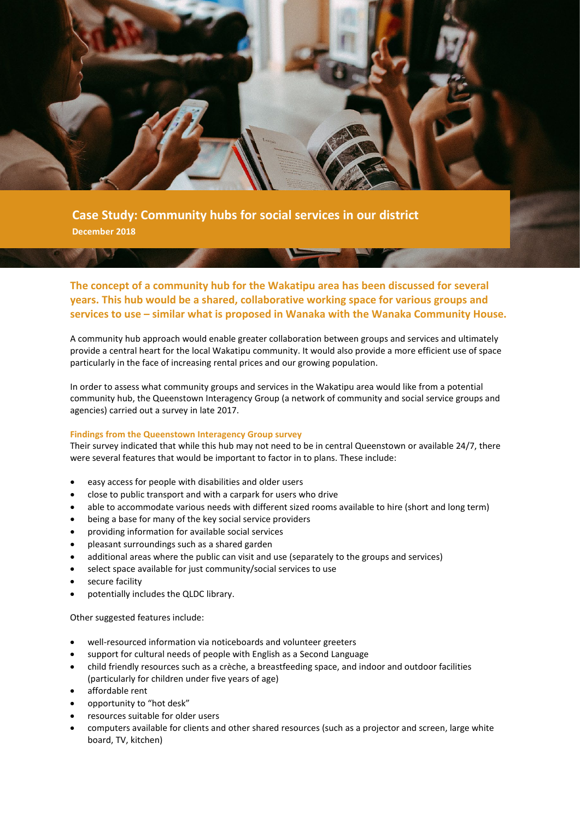

**Case Study: Community hubs for social services in our district December 2018**

**The concept of a community hub for the Wakatipu area has been discussed for several years. This hub would be a shared, collaborative working space for various groups and services to use – similar what is proposed in Wanaka with the Wanaka Community House.**

A community hub approach would enable greater collaboration between groups and services and ultimately provide a central heart for the local Wakatipu community. It would also provide a more efficient use of space particularly in the face of increasing rental prices and our growing population.

In order to assess what community groups and services in the Wakatipu area would like from a potential community hub, the Queenstown Interagency Group (a network of community and social service groups and agencies) carried out a survey in late 2017.

# **Findings from the Queenstown Interagency Group survey**

Their survey indicated that while this hub may not need to be in central Queenstown or available 24/7, there were several features that would be important to factor in to plans. These include:

- easy access for people with disabilities and older users
- close to public transport and with a carpark for users who drive
- able to accommodate various needs with different sized rooms available to hire (short and long term)
- being a base for many of the key social service providers
- providing information for available social services
- pleasant surroundings such as a shared garden
- additional areas where the public can visit and use (separately to the groups and services)
- select space available for just community/social services to use
- secure facility
- potentially includes the QLDC library.

Other suggested features include:

- well-resourced information via noticeboards and volunteer greeters
- support for cultural needs of people with English as a Second Language
- child friendly resources such as a crèche, a breastfeeding space, and indoor and outdoor facilities (particularly for children under five years of age)
- affordable rent
- opportunity to "hot desk"
- resources suitable for older users
- computers available for clients and other shared resources (such as a projector and screen, large white board, TV, kitchen)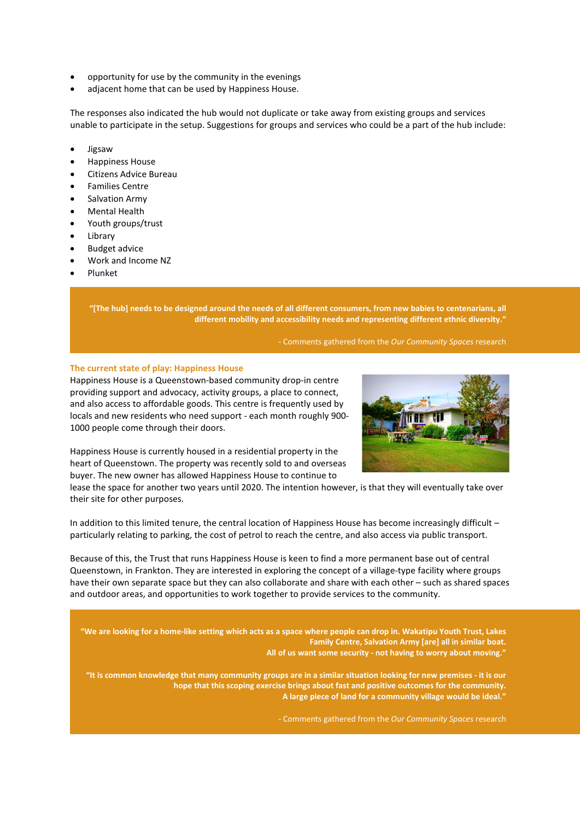- opportunity for use by the community in the evenings
- adjacent home that can be used by Happiness House.

The responses also indicated the hub would not duplicate or take away from existing groups and services unable to participate in the setup. Suggestions for groups and services who could be a part of the hub include:

- Jigsaw
- Happiness House
- Citizens Advice Bureau
- Families Centre
- Salvation Army
- Mental Health
- Youth groups/trust
- **Library**
- Budget advice
- Work and Income NZ
- Plunket

**"[The hub] needs to be designed around the needs of all different consumers, from new babies to centenarians, all different mobility and accessibility needs and representing different ethnic diversity."**

# - Comments gathered from the *Our Community Spaces* research

# **The current state of play: Happiness House**



Happiness House is a Queenstown-based community drop-in centre providing support and advocacy, activity groups, a place to connect, and also access to affordable goods. This centre is frequently used by locals and new residents who need support - each month roughly 900- 1000 people come through their doors.

Happiness House is currently housed in a residential property in the heart of Queenstown. The property was recently sold to and overseas buyer. The new owner has allowed Happiness House to continue to

lease the space for another two years until 2020. The intention however, is that they will eventually take over their site for other purposes.

In addition to this limited tenure, the central location of Happiness House has become increasingly difficult – particularly relating to parking, the cost of petrol to reach the centre, and also access via public transport.

Because of this, the Trust that runs Happiness House is keen to find a more permanent base out of central Queenstown, in Frankton. They are interested in exploring the concept of a village-type facility where groups have their own separate space but they can also collaborate and share with each other – such as shared spaces and outdoor areas, and opportunities to work together to provide services to the community.

**"We are looking for a home-like setting which acts as a space where people can drop in. Wakatipu Youth Trust, Lakes Family Centre, Salvation Army [are] all in similar boat. All of us want some security - not having to worry about moving."**

**"It is common knowledge that many community groups are in a similar situation looking for new premises - it is our hope that this scoping exercise brings about fast and positive outcomes for the community. A large piece of land for a community village would be ideal."**

- Comments gathered from the *Our Community Spaces* research